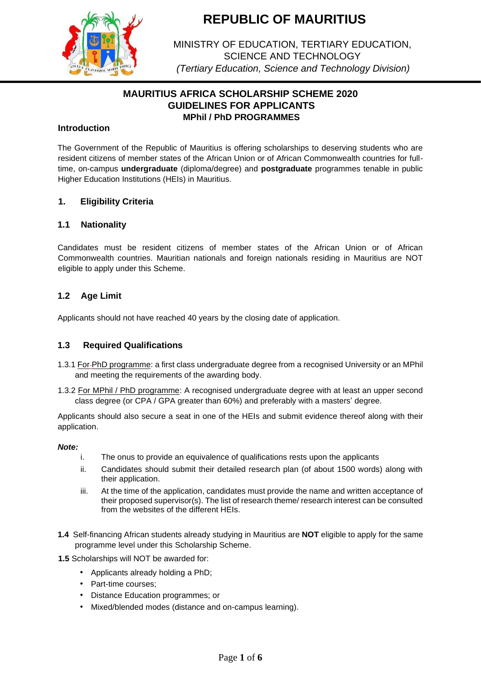

MINISTRY OF EDUCATION, TERTIARY EDUCATION, SCIENCE AND TECHNOLOGY *(Tertiary Education, Science and Technology Division)*

# **MAURITIUS AFRICA SCHOLARSHIP SCHEME 2020 GUIDELINES FOR APPLICANTS MPhil / PhD PROGRAMMES**

## **Introduction**

The Government of the Republic of Mauritius is offering scholarships to deserving students who are resident citizens of member states of the African Union or of African Commonwealth countries for fulltime, on-campus **undergraduate** (diploma/degree) and **postgraduate** programmes tenable in public Higher Education Institutions (HEIs) in Mauritius.

## **1. Eligibility Criteria**

## **1.1 Nationality**

Candidates must be resident citizens of member states of the African Union or of African Commonwealth countries. Mauritian nationals and foreign nationals residing in Mauritius are NOT eligible to apply under this Scheme.

## **1.2 Age Limit**

Applicants should not have reached 40 years by the closing date of application.

## **1.3 Required Qualifications**

- 1.3.1 For PhD programme: a first class undergraduate degree from a recognised University or an MPhil and meeting the requirements of the awarding body.
- 1.3.2 For MPhil / PhD programme: A recognised undergraduate degree with at least an upper second class degree (or CPA / GPA greater than 60%) and preferably with a masters' degree.

Applicants should also secure a seat in one of the HEIs and submit evidence thereof along with their application.

### *Note:*

- i. The onus to provide an equivalence of qualifications rests upon the applicants
- ii. Candidates should submit their detailed research plan (of about 1500 words) along with their application.
- iii. At the time of the application, candidates must provide the name and written acceptance of their proposed supervisor(s). The list of research theme/ research interest can be consulted from the websites of the different HEIs.
- **1.4** Self-financing African students already studying in Mauritius are **NOT** eligible to apply for the same programme level under this Scholarship Scheme.
- **1.5** Scholarships will NOT be awarded for:
	- Applicants already holding a PhD;
	- Part-time courses;
	- Distance Education programmes; or
	- Mixed/blended modes (distance and on-campus learning).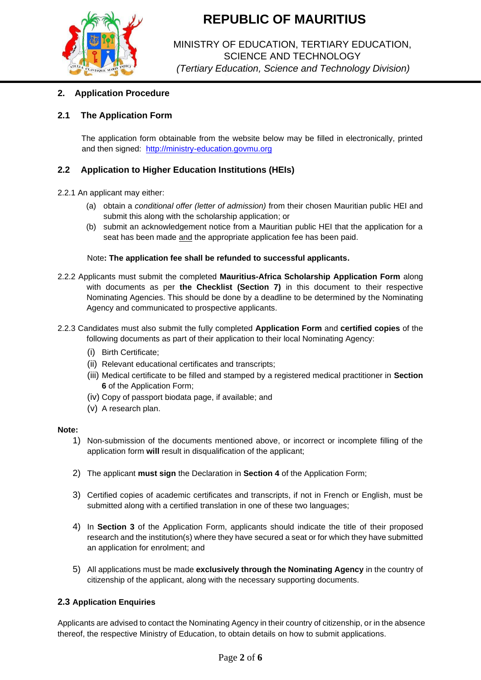

# MINISTRY OF EDUCATION, TERTIARY EDUCATION, SCIENCE AND TECHNOLOGY *(Tertiary Education, Science and Technology Division)*

# **2. Application Procedure**

# **2.1 The Application Form**

The application form obtainable from the website below may be filled in electronically, printed and then signed: [http://ministry-education.govmu.org](http://ministry-education.govmu.org/)

## **2.2 Application to Higher Education Institutions (HEIs)**

## 2.2.1 An applicant may either:

- (a) obtain a *conditional offer (letter of admission)* from their chosen Mauritian public HEI and submit this along with the scholarship application; or
- (b) submit an acknowledgement notice from a Mauritian public HEI that the application for a seat has been made and the appropriate application fee has been paid.

### Note**: The application fee shall be refunded to successful applicants.**

2.2.2 Applicants must submit the completed **Mauritius-Africa Scholarship Application Form** along with documents as per **the Checklist (Section 7)** in this document to their respective Nominating Agencies. This should be done by a deadline to be determined by the Nominating Agency and communicated to prospective applicants.

### 2.2.3 Candidates must also submit the fully completed **Application Form** and **certified copies** of the following documents as part of their application to their local Nominating Agency:

- (i) Birth Certificate;
- (ii) Relevant educational certificates and transcripts;
- (iii) Medical certificate to be filled and stamped by a registered medical practitioner in **Section 6** of the Application Form;
- (iv) Copy of passport biodata page, if available; and
- (v) A research plan.

### **Note:**

- 1) Non-submission of the documents mentioned above, or incorrect or incomplete filling of the application form **will** result in disqualification of the applicant;
- 2) The applicant **must sign** the Declaration in **Section 4** of the Application Form;
- 3) Certified copies of academic certificates and transcripts, if not in French or English, must be submitted along with a certified translation in one of these two languages;
- 4) In **Section 3** of the Application Form, applicants should indicate the title of their proposed research and the institution(s) where they have secured a seat or for which they have submitted an application for enrolment; and
- 5) All applications must be made **exclusively through the Nominating Agency** in the country of citizenship of the applicant, along with the necessary supporting documents.

## **2.3 Application Enquiries**

Applicants are advised to contact the Nominating Agency in their country of citizenship, or in the absence thereof, the respective Ministry of Education, to obtain details on how to submit applications.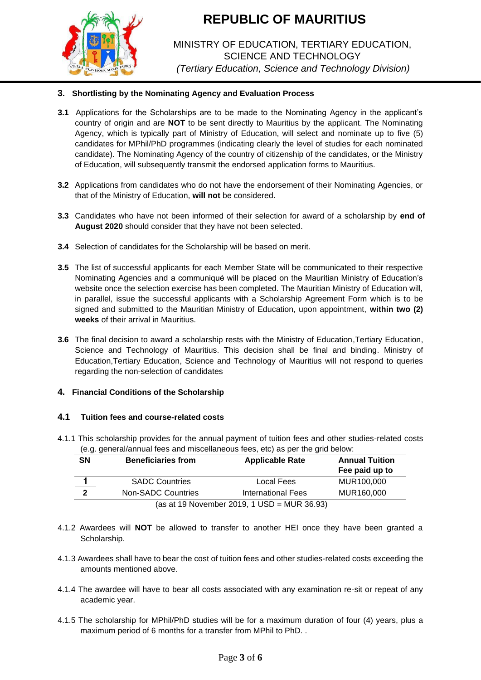

# MINISTRY OF EDUCATION, TERTIARY EDUCATION, SCIENCE AND TECHNOLOGY *(Tertiary Education, Science and Technology Division)*

## **3. Shortlisting by the Nominating Agency and Evaluation Process**

- **3.1** Applications for the Scholarships are to be made to the Nominating Agency in the applicant's country of origin and are **NOT** to be sent directly to Mauritius by the applicant. The Nominating Agency, which is typically part of Ministry of Education, will select and nominate up to five (5) candidates for MPhil/PhD programmes (indicating clearly the level of studies for each nominated candidate). The Nominating Agency of the country of citizenship of the candidates, or the Ministry of Education, will subsequently transmit the endorsed application forms to Mauritius.
- **3.2** Applications from candidates who do not have the endorsement of their Nominating Agencies, or that of the Ministry of Education, **will not** be considered.
- **3.3** Candidates who have not been informed of their selection for award of a scholarship by **end of August 2020** should consider that they have not been selected.
- **3.4** Selection of candidates for the Scholarship will be based on merit.
- **3.5** The list of successful applicants for each Member State will be communicated to their respective Nominating Agencies and a communiqué will be placed on the Mauritian Ministry of Education's website once the selection exercise has been completed. The Mauritian Ministry of Education will, in parallel, issue the successful applicants with a Scholarship Agreement Form which is to be signed and submitted to the Mauritian Ministry of Education, upon appointment, **within two (2) weeks** of their arrival in Mauritius.
- 3.6 The final decision to award a scholarship rests with the Ministry of Education, Tertiary Education, Science and Technology of Mauritius. This decision shall be final and binding. Ministry of Education,Tertiary Education, Science and Technology of Mauritius will not respond to queries regarding the non-selection of candidates

## **4. Financial Conditions of the Scholarship**

### **4.1 Tuition fees and course-related costs**

4.1.1 This scholarship provides for the annual payment of tuition fees and other studies-related costs (e.g. general/annual fees and miscellaneous fees, etc) as per the grid below:

| <b>SN</b>   | <b>Beneficiaries from</b> | <b>Applicable Rate</b>                           | <b>Annual Tuition</b><br>Fee paid up to |
|-------------|---------------------------|--------------------------------------------------|-----------------------------------------|
|             | <b>SADC Countries</b>     | Local Fees                                       | MUR100.000                              |
| $\mathbf 2$ | Non-SADC Countries        | <b>International Fees</b>                        | MUR160,000                              |
|             |                           | (as at 19 November 2019 $\pm$ LISD = MLIR 36.93) |                                         |

 $(as at 19 November 2019, 1 USD = MUK 36.93)$ 

- 4.1.2 Awardees will **NOT** be allowed to transfer to another HEI once they have been granted a Scholarship.
- 4.1.3 Awardees shall have to bear the cost of tuition fees and other studies-related costs exceeding the amounts mentioned above.
- 4.1.4 The awardee will have to bear all costs associated with any examination re-sit or repeat of any academic year.
- 4.1.5 The scholarship for MPhil/PhD studies will be for a maximum duration of four (4) years, plus a maximum period of 6 months for a transfer from MPhil to PhD. .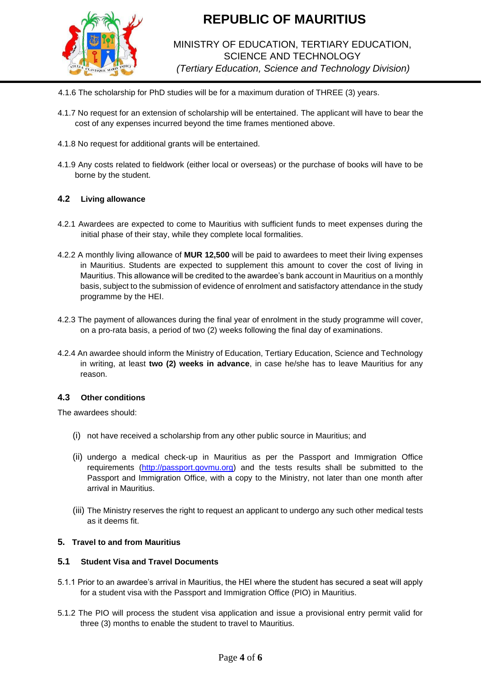

# MINISTRY OF EDUCATION, TERTIARY EDUCATION, SCIENCE AND TECHNOLOGY *(Tertiary Education, Science and Technology Division)*

- 4.1.6 The scholarship for PhD studies will be for a maximum duration of THREE (3) years.
- 4.1.7 No request for an extension of scholarship will be entertained. The applicant will have to bear the cost of any expenses incurred beyond the time frames mentioned above.
- 4.1.8 No request for additional grants will be entertained.
- 4.1.9 Any costs related to fieldwork (either local or overseas) or the purchase of books will have to be borne by the student.

### **4.2 Living allowance**

- 4.2.1 Awardees are expected to come to Mauritius with sufficient funds to meet expenses during the initial phase of their stay, while they complete local formalities.
- 4.2.2 A monthly living allowance of **MUR 12,500** will be paid to awardees to meet their living expenses in Mauritius. Students are expected to supplement this amount to cover the cost of living in Mauritius. This allowance will be credited to the awardee's bank account in Mauritius on a monthly basis, subject to the submission of evidence of enrolment and satisfactory attendance in the study programme by the HEI.
- 4.2.3 The payment of allowances during the final year of enrolment in the study programme will cover, on a pro-rata basis, a period of two (2) weeks following the final day of examinations.
- 4.2.4 An awardee should inform the Ministry of Education, Tertiary Education, Science and Technology in writing, at least **two (2) weeks in advance**, in case he/she has to leave Mauritius for any reason.

### **4.3 Other conditions**

The awardees should:

- (i) not have received a scholarship from any other public source in Mauritius; and
- (ii) undergo a medical check-up in Mauritius as per the Passport and Immigration Office requirements [\(http://passport.govmu.org\)](http://passport.govmu.org/) and the tests results shall be submitted to the Passport and Immigration Office, with a copy to the Ministry, not later than one month after arrival in Mauritius.
- (iii) The Ministry reserves the right to request an applicant to undergo any such other medical tests as it deems fit.

### **5. Travel to and from Mauritius**

### **5.1 Student Visa and Travel Documents**

- 5.1.1 Prior to an awardee's arrival in Mauritius, the HEI where the student has secured a seat will apply for a student visa with the Passport and Immigration Office (PIO) in Mauritius.
- 5.1.2 The PIO will process the student visa application and issue a provisional entry permit valid for three (3) months to enable the student to travel to Mauritius.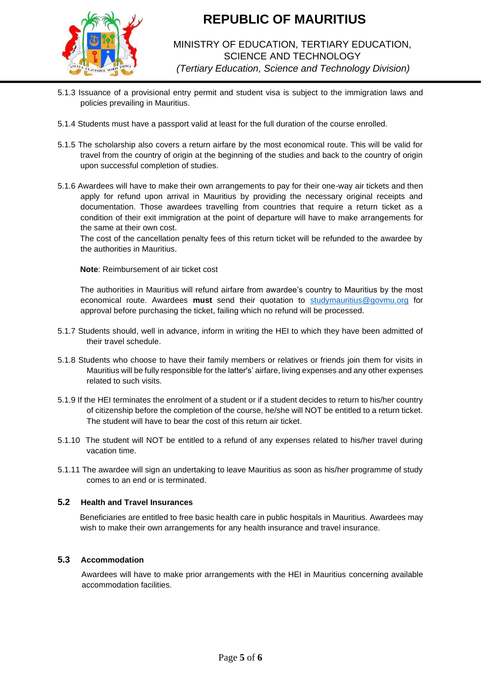

# MINISTRY OF EDUCATION, TERTIARY EDUCATION, SCIENCE AND TECHNOLOGY *(Tertiary Education, Science and Technology Division)*

- 5.1.3 Issuance of a provisional entry permit and student visa is subject to the immigration laws and policies prevailing in Mauritius.
- 5.1.4 Students must have a passport valid at least for the full duration of the course enrolled.
- 5.1.5 The scholarship also covers a return airfare by the most economical route. This will be valid for travel from the country of origin at the beginning of the studies and back to the country of origin upon successful completion of studies.
- 5.1.6 Awardees will have to make their own arrangements to pay for their one-way air tickets and then apply for refund upon arrival in Mauritius by providing the necessary original receipts and documentation. Those awardees travelling from countries that require a return ticket as a condition of their exit immigration at the point of departure will have to make arrangements for the same at their own cost.

The cost of the cancellation penalty fees of this return ticket will be refunded to the awardee by the authorities in Mauritius.

### **Note**: Reimbursement of air ticket cost

The authorities in Mauritius will refund airfare from awardee's country to Mauritius by the most economical route. Awardees **must** send their quotation to [studymauritius@govmu.org](mailto:studymauritius@govmu.org) for approval before purchasing the ticket, failing which no refund will be processed.

- 5.1.7 Students should, well in advance, inform in writing the HEI to which they have been admitted of their travel schedule.
- 5.1.8 Students who choose to have their family members or relatives or friends join them for visits in Mauritius will be fully responsible for the latter's' airfare, living expenses and any other expenses related to such visits.
- 5.1.9 If the HEI terminates the enrolment of a student or if a student decides to return to his/her country of citizenship before the completion of the course, he/she will NOT be entitled to a return ticket. The student will have to bear the cost of this return air ticket.
- 5.1.10 The student will NOT be entitled to a refund of any expenses related to his/her travel during vacation time.
- 5.1.11 The awardee will sign an undertaking to leave Mauritius as soon as his/her programme of study comes to an end or is terminated.

## **5.2 Health and Travel Insurances**

Beneficiaries are entitled to free basic health care in public hospitals in Mauritius. Awardees may wish to make their own arrangements for any health insurance and travel insurance.

### **5.3 Accommodation**

Awardees will have to make prior arrangements with the HEI in Mauritius concerning available accommodation facilities.